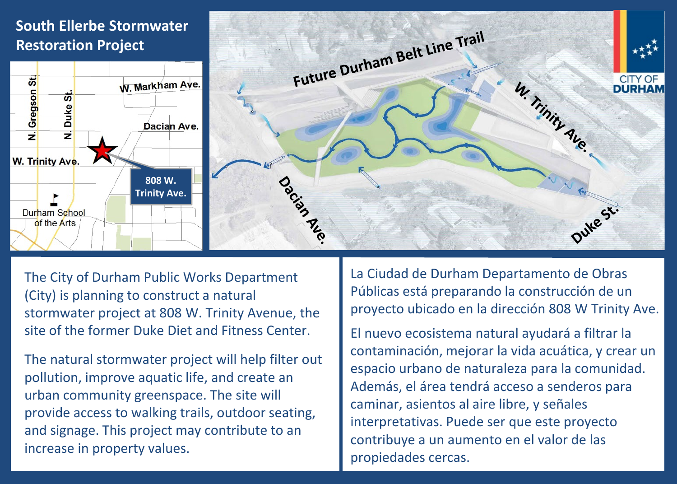## **South Ellerbe Stormwater Restoration Project**





The City of Durham Public Works Department (City) is planning to construct a natural stormwater project at 808 W. Trinity Avenue, the site of the former Duke Diet and Fitness Center.

The natural stormwater project will help filter out pollution, improve aquatic life, and create an urban community greenspace. The site will provide access to walking trails, outdoor seating, and signage. This project may contribute to an increase in property values.

La Ciudad de Durham Departamento de Obras Públicas está preparando la construcción de un proyecto ubicado en la dirección 808 W Trinity Ave.

El nuevo ecosistema natural ayudará a filtrar la contaminación, mejorar la vida acuática, y crear un espacio urbano de naturaleza para la comunidad. Además, el área tendrá acceso a senderos para caminar, asientos al aire libre, y señales interpretativas. Puede ser que este proyecto contribuye a un aumento en el valor de las propiedades cercas.